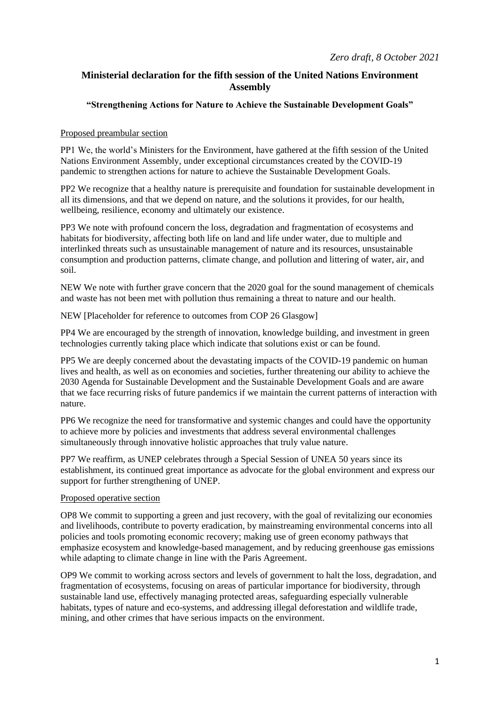## **Ministerial declaration for the fifth session of the United Nations Environment Assembly**

## **"Strengthening Actions for Nature to Achieve the Sustainable Development Goals"**

## Proposed preambular section

PP1 We, the world's Ministers for the Environment, have gathered at the fifth session of the United Nations Environment Assembly, under exceptional circumstances created by the COVID-19 pandemic to strengthen actions for nature to achieve the Sustainable Development Goals.

PP2 We recognize that a healthy nature is prerequisite and foundation for sustainable development in all its dimensions, and that we depend on nature, and the solutions it provides, for our health, wellbeing, resilience, economy and ultimately our existence.

PP3 We note with profound concern the loss, degradation and fragmentation of ecosystems and habitats for biodiversity, affecting both life on land and life under water, due to multiple and interlinked threats such as unsustainable management of nature and its resources, unsustainable consumption and production patterns, climate change, and pollution and littering of water, air, and soil.

NEW We note with further grave concern that the 2020 goal for the sound management of chemicals and waste has not been met with pollution thus remaining a threat to nature and our health.

NEW [Placeholder for reference to outcomes from COP 26 Glasgow]

PP4 We are encouraged by the strength of innovation, knowledge building, and investment in green technologies currently taking place which indicate that solutions exist or can be found.

PP5 We are deeply concerned about the devastating impacts of the COVID-19 pandemic on human lives and health, as well as on economies and societies, further threatening our ability to achieve the 2030 Agenda for Sustainable Development and the Sustainable Development Goals and are aware that we face recurring risks of future pandemics if we maintain the current patterns of interaction with nature.

PP6 We recognize the need for transformative and systemic changes and could have the opportunity to achieve more by policies and investments that address several environmental challenges simultaneously through innovative holistic approaches that truly value nature.

PP7 We reaffirm, as UNEP celebrates through a Special Session of UNEA 50 years since its establishment, its continued great importance as advocate for the global environment and express our support for further strengthening of UNEP.

## Proposed operative section

OP8 We commit to supporting a green and just recovery, with the goal of revitalizing our economies and livelihoods, contribute to poverty eradication, by mainstreaming environmental concerns into all policies and tools promoting economic recovery; making use of green economy pathways that emphasize ecosystem and knowledge-based management, and by reducing greenhouse gas emissions while adapting to climate change in line with the Paris Agreement.

OP9 We commit to working across sectors and levels of government to halt the loss, degradation, and fragmentation of ecosystems, focusing on areas of particular importance for biodiversity, through sustainable land use, effectively managing protected areas, safeguarding especially vulnerable habitats, types of nature and eco-systems, and addressing illegal deforestation and wildlife trade, mining, and other crimes that have serious impacts on the environment.